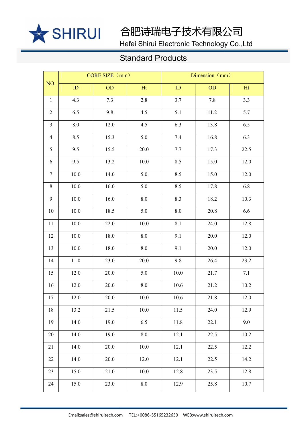

Hefei Shirui Electronic Technology Co.,Ltd

| NO.            | CORE SIZE (mm) |          |          | Dimension (mm) |           |      |
|----------------|----------------|----------|----------|----------------|-----------|------|
|                | ID             | OD       | Ht       | ID             | <b>OD</b> | Ht   |
| $\mathbf{1}$   | 4.3            | 7.3      | 2.8      | 3.7            | 7.8       | 3.3  |
| $\overline{2}$ | 6.5            | 9.8      | 4.5      | 5.1            | 11.2      | 5.7  |
| $\mathfrak{Z}$ | $8.0\,$        | 12.0     | 4.5      | 6.3            | 13.8      | 6.5  |
| $\overline{4}$ | 8.5            | 15.3     | 5.0      | 7.4            | 16.8      | 6.3  |
| 5              | 9.5            | 15.5     | 20.0     | 7.7            | 17.3      | 22.5 |
| 6              | 9.5            | $13.2\,$ | 10.0     | 8.5            | 15.0      | 12.0 |
| $\tau$         | $10.0$         | 14.0     | 5.0      | 8.5            | 15.0      | 12.0 |
| $8\,$          | $10.0\,$       | 16.0     | 5.0      | 8.5            | 17.8      | 6.8  |
| 9              | 10.0           | 16.0     | 8.0      | 8.3            | 18.2      | 10.3 |
| 10             | 10.0           | 18.5     | 5.0      | 8.0            | 20.8      | 6.6  |
| 11             | 10.0           | 22.0     | 10.0     | 8.1            | 24.0      | 12.8 |
| 12             | $10.0$         | 18.0     | $8.0\,$  | 9.1            | 20.0      | 12.0 |
| 13             | $10.0$         | 18.0     | $8.0\,$  | 9.1            | 20.0      | 12.0 |
| 14             | 11.0           | 23.0     | 20.0     | 9.8            | 26.4      | 23.2 |
| 15             | 12.0           | $20.0\,$ | 5.0      | 10.0           | 21.7      | 7.1  |
| 16             | 12.0           | 20.0     | $8.0\,$  | 10.6           | 21.2      | 10.2 |
| 17             | 12.0           | 20.0     | $10.0$   | $10.6\,$       | $21.8\,$  | 12.0 |
| 18             | 13.2           | 21.5     | $10.0\,$ | 11.5           | 24.0      | 12.9 |
| 19             | 14.0           | 19.0     | 6.5      | 11.8           | 22.1      | 9.0  |
| $20\,$         | 14.0           | 19.0     | $8.0\,$  | 12.1           | 22.5      | 10.2 |
| 21             | 14.0           | 20.0     | $10.0$   | 12.1           | 22.5      | 12.2 |
| $22\,$         | 14.0           | 20.0     | 12.0     | 12.1           | 22.5      | 14.2 |
| 23             | 15.0           | 21.0     | $10.0$   | 12.8           | 23.5      | 12.8 |
| 24             | 15.0           | 23.0     | $8.0\,$  | 12.9           | 25.8      | 10.7 |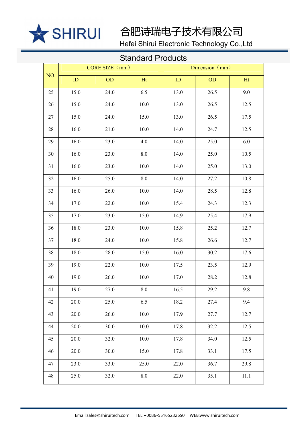

Hefei Shirui Electronic Technology Co.,Ltd

| NO. | CORE SIZE (mm) |           |           | Dimension (mm) |           |          |
|-----|----------------|-----------|-----------|----------------|-----------|----------|
|     | ID             | <b>OD</b> | Ht        | ID             | <b>OD</b> | Ht       |
| 25  | 15.0           | 24.0      | 6.5       | 13.0           | 26.5      | 9.0      |
| 26  | 15.0           | 24.0      | 10.0      | 13.0           | 26.5      | 12.5     |
| 27  | 15.0           | 24.0      | 15.0      | 13.0           | 26.5      | 17.5     |
| 28  | 16.0           | 21.0      | 10.0      | 14.0           | 24.7      | 12.5     |
| 29  | 16.0           | 23.0      | 4.0       | 14.0           | 25.0      | 6.0      |
| 30  | 16.0           | 23.0      | 8.0       | 14.0           | 25.0      | 10.5     |
| 31  | 16.0           | 23.0      | 10.0      | 14.0           | 25.0      | 13.0     |
| 32  | 16.0           | 25.0      | 8.0       | 14.0           | 27.2      | 10.8     |
| 33  | 16.0           | 26.0      | 10.0      | 14.0           | 28.5      | 12.8     |
| 34  | 17.0           | 22.0      | 10.0      | 15.4           | 24.3      | 12.3     |
| 35  | 17.0           | 23.0      | 15.0      | 14.9           | 25.4      | 17.9     |
| 36  | 18.0           | 23.0      | 10.0      | 15.8           | 25.2      | 12.7     |
| 37  | 18.0           | 24.0      | 10.0      | 15.8           | 26.6      | 12.7     |
| 38  | 18.0           | 28.0      | 15.0      | 16.0           | 30.2      | 17.6     |
| 39  | 19.0           | 22.0      | 10.0      | 17.5           | 23.5      | 12.9     |
| 40  | 19.0           | 26.0      | 10.0      | 17.0           | 28.2      | 12.8     |
| 41  | 19.0           | 27.0      | 8.0       | 16.5           | 29.2      | 9.8      |
| 42  | 20.0           | 25.0      | 6.5       | 18.2           | 27.4      | 9.4      |
| 43  | 20.0           | 26.0      | 10.0      | 17.9           | 27.7      | 12.7     |
| 44  | 20.0           | 30.0      | $10.0\,$  | 17.8           | 32.2      | 12.5     |
| 45  | 20.0           | 32.0      | $10.0\,$  | 17.8           | 34.0      | 12.5     |
| 46  | 20.0           | 30.0      | 15.0      | 17.8           | 33.1      | 17.5     |
| 47  | 23.0           | 33.0      | 25.0      | 22.0           | 36.7      | 29.8     |
| 48  | 25.0           | 32.0      | $\ \ 8.0$ | 22.0           | 35.1      | $11.1\,$ |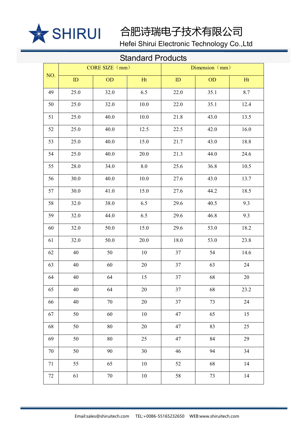

Hefei Shirui Electronic Technology Co.,Ltd

| NO.    | CORE SIZE (mm) |           |        | Dimension (mm) |           |      |
|--------|----------------|-----------|--------|----------------|-----------|------|
|        | ID             | <b>OD</b> | Ht     | ID             | <b>OD</b> | Ht   |
| 49     | 25.0           | 32.0      | 6.5    | 22.0           | 35.1      | 8.7  |
| 50     | 25.0           | 32.0      | 10.0   | 22.0           | 35.1      | 12.4 |
| 51     | 25.0           | 40.0      | 10.0   | 21.8           | 43.0      | 13.5 |
| 52     | 25.0           | 40.0      | 12.5   | 22.5           | 42.0      | 16.0 |
| 53     | 25.0           | 40.0      | 15.0   | 21.7           | 43.0      | 18.8 |
| 54     | 25.0           | 40.0      | 20.0   | 21.3           | 44.0      | 24.6 |
| 55     | 28.0           | 34.0      | 8.0    | 25.6           | 36.8      | 10.5 |
| 56     | 30.0           | 40.0      | 10.0   | 27.6           | 43.0      | 13.7 |
| 57     | 30.0           | 41.0      | 15.0   | 27.6           | 44.2      | 18.5 |
| 58     | 32.0           | 38.0      | 6.5    | 29.6           | 40.5      | 9.3  |
| 59     | 32.0           | 44.0      | 6.5    | 29.6           | 46.8      | 9.3  |
| 60     | 32.0           | 50.0      | 15.0   | 29.6           | 53.0      | 18.2 |
| 61     | 32.0           | 50.0      | 20.0   | 18.0           | 53.0      | 23.8 |
| 62     | 40             | 50        | 10     | 37             | 54        | 14.6 |
| 63     | 40             | 60        | 20     | $37\,$         | 63        | 24   |
| 64     | 40             | 64        | 15     | $37\,$         | 68        | 20   |
| 65     | 40             | 64        | $20\,$ | 37             | 68        | 23.2 |
| 66     | 40             | $70\,$    | $20\,$ | 37             | 73        | 24   |
| 67     | 50             | 60        | $10\,$ | 47             | 65        | 15   |
| 68     | 50             | 80        | $20\,$ | 47             | 83        | 25   |
| 69     | 50             | $80\,$    | 25     | 47             | 84        | 29   |
| $70\,$ | 50             | 90        | 30     | 46             | 94        | 34   |
| $71\,$ | 55             | 65        | $10\,$ | 52             | 68        | 14   |
| $72\,$ | 61             | $70\,$    | $10\,$ | 58             | 73        | $14$ |